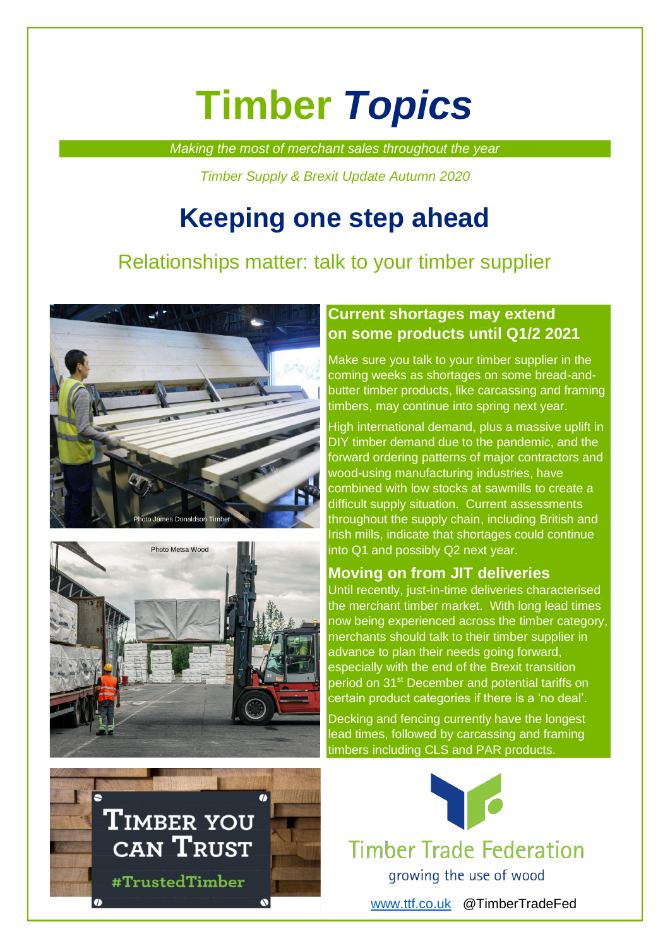# **Timber** *Topics*

*Making the most of merchant sales throughout the year*

*Timber Supply & Brexit Update Autumn 2020*

## **Keeping one step ahead**

### Relationships matter: talk to your timber supplier





#### **Current shortages may extend on some products until Q1/2 2021**

Make sure you talk to your timber supplier in the coming weeks as shortages on some bread-andbutter timber products, like carcassing and framing timbers, may continue into spring next year.

High international demand, plus a massive uplift in DIY timber demand due to the pandemic, and the forward ordering patterns of major contractors and wood-using manufacturing industries, have combined with low stocks at sawmills to create a difficult supply situation. Current assessments throughout the supply chain, including British and Irish mills, indicate that shortages could continue into Q1 and possibly Q2 next year.

#### **Moving on from JIT deliveries**

Until recently, just-in-time deliveries characterised the merchant timber market. With long lead times now being experienced across the timber category, merchants should talk to their timber supplier in advance to plan their needs going forward, especially with the end of the Brexit transition period on 31<sup>st</sup> December and potential tariffs on certain product categories if there is a 'no deal'.

Decking and fencing currently have the longest lead times, followed by carcassing and framing timbers including CLS and PAR products.





**Timber Trade Federation** 

growing the use of wood

[www.ttf.co.uk](http://www.ttf.co.uk/) @TimberTradeFed